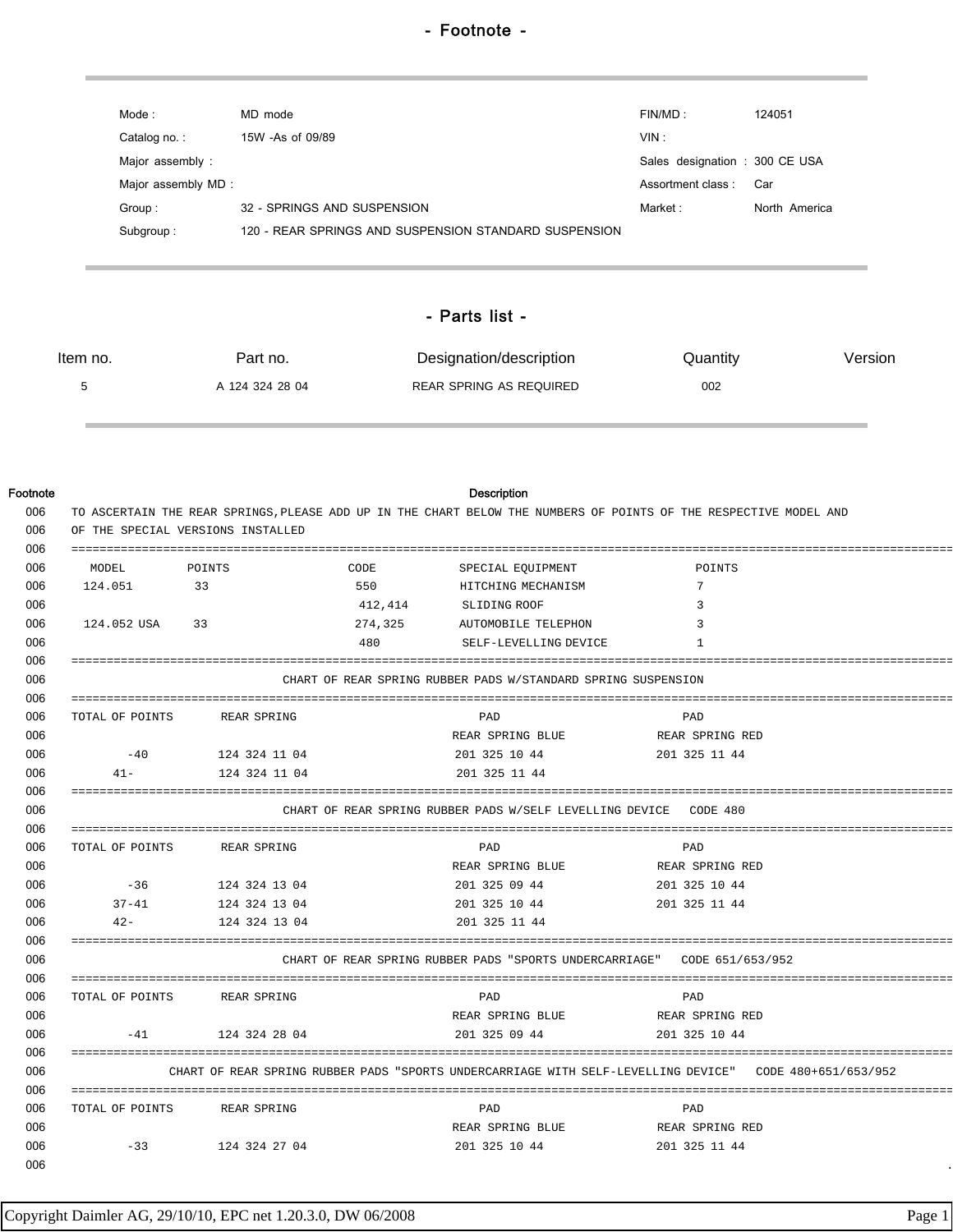| Mode :             | MD mode                                               | FINMD:                        | 124051        |
|--------------------|-------------------------------------------------------|-------------------------------|---------------|
| Catalog no.:       | 15W -As of 09/89                                      | VIN:                          |               |
| Major assembly:    |                                                       | Sales designation: 300 CE USA |               |
| Major assembly MD: |                                                       | Assortment class:             | Car           |
| Group:             | 32 - SPRINGS AND SUSPENSION                           | Market :                      | North America |
| Subgroup:          | 120 - REAR SPRINGS AND SUSPENSION STANDARD SUSPENSION |                               |               |
|                    |                                                       |                               |               |

## - Parts list -

| Item no. | Part no.        | Designation/description | Quantity | Version |
|----------|-----------------|-------------------------|----------|---------|
|          | A 124 324 28 04 | REAR SPRING AS REQUIRED | 002      |         |

| Footnote   |                                                                                                                   |               |         | Description                                                   |                  |  |
|------------|-------------------------------------------------------------------------------------------------------------------|---------------|---------|---------------------------------------------------------------|------------------|--|
| 006        | TO ASCERTAIN THE REAR SPRINGS, PLEASE ADD UP IN THE CHART BELOW THE NUMBERS OF POINTS OF THE RESPECTIVE MODEL AND |               |         |                                                               |                  |  |
| 006        | OF THE SPECIAL VERSIONS INSTALLED                                                                                 |               |         |                                                               |                  |  |
| 006        |                                                                                                                   |               |         |                                                               |                  |  |
| 006        | MODEL                                                                                                             | POINTS        | CODE    | SPECIAL EQUIPMENT                                             | POINTS           |  |
| 006        | 124.051                                                                                                           | 33            | 550     | HITCHING MECHANISM                                            | 7                |  |
| 006        |                                                                                                                   |               | 412,414 | SLIDING ROOF                                                  | 3                |  |
| 006        | 124.052 USA                                                                                                       | 33            | 274,325 | AUTOMOBILE TELEPHON                                           | 3                |  |
| 006        |                                                                                                                   |               | 480     | SELF-LEVELLING DEVICE                                         | -1               |  |
| 006        |                                                                                                                   |               |         |                                                               |                  |  |
| 006        |                                                                                                                   |               |         | CHART OF REAR SPRING RUBBER PADS W/STANDARD SPRING SUSPENSION |                  |  |
| 006        |                                                                                                                   |               |         |                                                               |                  |  |
| 006        | TOTAL OF POINTS                                                                                                   | REAR SPRING   |         | PAD                                                           | PAD              |  |
| 006        |                                                                                                                   |               |         | REAR SPRING BLUE                                              | REAR SPRING RED  |  |
| 006        | $-40$                                                                                                             | 124 324 11 04 |         | 201 325 10 44                                                 | 201 325 11 44    |  |
| 006        | $41 -$                                                                                                            | 124 324 11 04 |         | 201 325 11 44                                                 |                  |  |
| 006        |                                                                                                                   |               |         |                                                               |                  |  |
| 006        | CHART OF REAR SPRING RUBBER PADS W/SELF LEVELLING DEVICE<br>CODE 480                                              |               |         |                                                               |                  |  |
| 006        |                                                                                                                   |               |         |                                                               |                  |  |
| 006        | TOTAL OF POINTS                                                                                                   | REAR SPRING   |         | PAD                                                           | PAD              |  |
| 006        |                                                                                                                   |               |         | REAR SPRING BLUE                                              | REAR SPRING RED  |  |
| 006        | $-36$                                                                                                             | 124 324 13 04 |         | 201 325 09 44                                                 | 201 325 10 44    |  |
| 006        | $37 - 41$                                                                                                         | 124 324 13 04 |         | 201 325 10 44                                                 | 201 325 11 44    |  |
| 006        | $42 -$                                                                                                            | 124 324 13 04 |         | 201 325 11 44                                                 |                  |  |
| 006        |                                                                                                                   |               |         |                                                               |                  |  |
| 006        |                                                                                                                   |               |         | CHART OF REAR SPRING RUBBER PADS "SPORTS UNDERCARRIAGE"       | CODE 651/653/952 |  |
| 006<br>006 |                                                                                                                   |               |         |                                                               |                  |  |
| 006        | TOTAL OF POINTS                                                                                                   | REAR SPRING   |         | PAD                                                           | PAD              |  |
| 006        | $-41$                                                                                                             |               |         | REAR SPRING BLUE                                              | REAR SPRING RED  |  |
| 006        |                                                                                                                   | 124 324 28 04 |         | 201 325 09 44                                                 | 201 325 10 44    |  |
| 006        |                                                                                                                   |               |         |                                                               |                  |  |
| 006        | CHART OF REAR SPRING RUBBER PADS "SPORTS UNDERCARRIAGE WITH SELF-LEVELLING DEVICE"<br>CODE 480+651/653/952        |               |         |                                                               |                  |  |
| 006        | TOTAL OF POINTS                                                                                                   | REAR SPRING   |         | PAD                                                           | PAD              |  |
| 006        |                                                                                                                   |               |         | REAR SPRING BLUE                                              | REAR SPRING RED  |  |
| 006        | $-33$                                                                                                             | 124 324 27 04 |         | 201 325 10 44                                                 | 201 325 11 44    |  |
| 006        |                                                                                                                   |               |         |                                                               |                  |  |